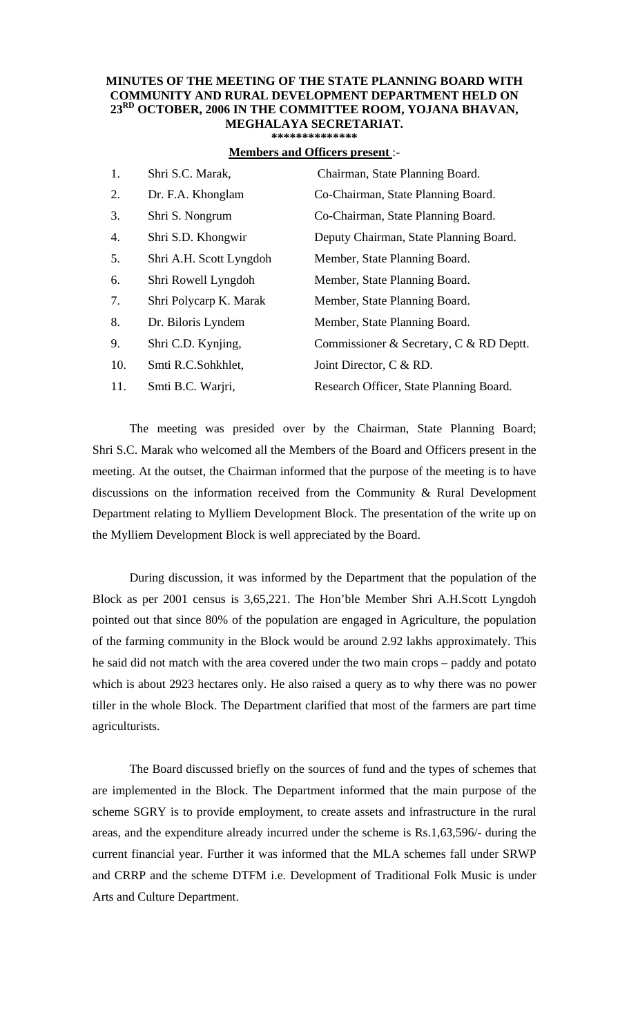## **MINUTES OF THE MEETING OF THE STATE PLANNING BOARD WITH COMMUNITY AND RURAL DEVELOPMENT DEPARTMENT HELD ON 23RD OCTOBER, 2006 IN THE COMMITTEE ROOM, YOJANA BHAVAN, MEGHALAYA SECRETARIAT.**

**\*\*\*\*\*\*\*\*\*\*\*\*\*\*** 

## **Members and Officers present** :-

| 1.  | Shri S.C. Marak,        | Chairman, State Planning Board.         |
|-----|-------------------------|-----------------------------------------|
| 2.  | Dr. F.A. Khonglam       | Co-Chairman, State Planning Board.      |
| 3.  | Shri S. Nongrum         | Co-Chairman, State Planning Board.      |
| 4.  | Shri S.D. Khongwir      | Deputy Chairman, State Planning Board.  |
| 5.  | Shri A.H. Scott Lyngdoh | Member, State Planning Board.           |
| 6.  | Shri Rowell Lyngdoh     | Member, State Planning Board.           |
| 7.  | Shri Polycarp K. Marak  | Member, State Planning Board.           |
| 8.  | Dr. Biloris Lyndem      | Member, State Planning Board.           |
| 9.  | Shri C.D. Kynjing,      | Commissioner & Secretary, C & RD Deptt. |
| 10. | Smti R.C.Sohkhlet,      | Joint Director, C & RD.                 |
| 11. | Smti B.C. Warjri,       | Research Officer, State Planning Board. |

The meeting was presided over by the Chairman, State Planning Board; Shri S.C. Marak who welcomed all the Members of the Board and Officers present in the meeting. At the outset, the Chairman informed that the purpose of the meeting is to have discussions on the information received from the Community & Rural Development Department relating to Mylliem Development Block. The presentation of the write up on the Mylliem Development Block is well appreciated by the Board.

 During discussion, it was informed by the Department that the population of the Block as per 2001 census is 3,65,221. The Hon'ble Member Shri A.H.Scott Lyngdoh pointed out that since 80% of the population are engaged in Agriculture, the population of the farming community in the Block would be around 2.92 lakhs approximately. This he said did not match with the area covered under the two main crops – paddy and potato which is about 2923 hectares only. He also raised a query as to why there was no power tiller in the whole Block. The Department clarified that most of the farmers are part time agriculturists.

 The Board discussed briefly on the sources of fund and the types of schemes that are implemented in the Block. The Department informed that the main purpose of the scheme SGRY is to provide employment, to create assets and infrastructure in the rural areas, and the expenditure already incurred under the scheme is Rs.1,63,596/- during the current financial year. Further it was informed that the MLA schemes fall under SRWP and CRRP and the scheme DTFM i.e. Development of Traditional Folk Music is under Arts and Culture Department.